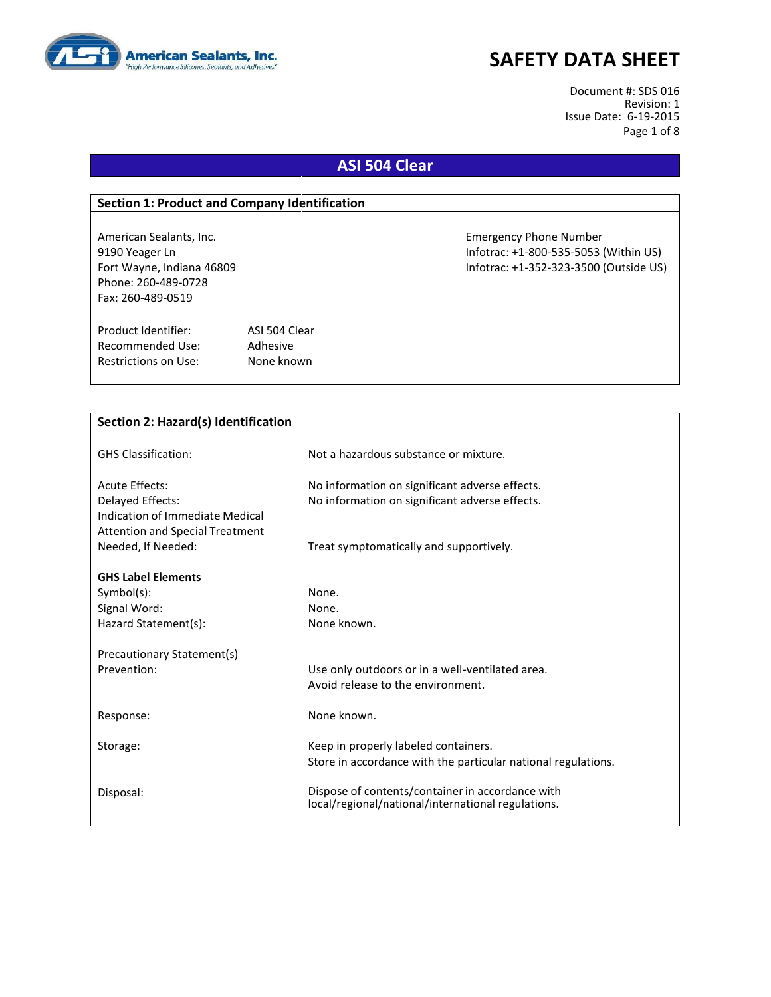

Document #: SDS 016 Revision: 1 Issue Date: 6-19-2015 Page 1 of 8

### **ASI 504 Clear**

#### **Section 1: Product and Company Identification**

Phone: 260-489-0728 Fax: 260-489-0519

Product Identifier: ASI 504 Clear Recommended Use: Adhesive Restrictions on Use: None known

American Sealants, Inc. Emergency Phone Number 9190 Yeager Ln Infotrac: +1-800-535-5053 (Within US) Fort Wayne, Indiana 46809 Infotrac: +1-352-323-3500 (Outside US)

| Section 2: Hazard(s) Identification    |                                                               |
|----------------------------------------|---------------------------------------------------------------|
|                                        |                                                               |
| <b>GHS Classification:</b>             | Not a hazardous substance or mixture.                         |
|                                        |                                                               |
| Acute Effects:                         | No information on significant adverse effects.                |
| Delayed Effects:                       | No information on significant adverse effects.                |
| Indication of Immediate Medical        |                                                               |
| <b>Attention and Special Treatment</b> |                                                               |
| Needed, If Needed:                     | Treat symptomatically and supportively.                       |
| <b>GHS Label Elements</b>              |                                                               |
| $Symbol(s)$ :                          | None.                                                         |
| Signal Word:                           | None.                                                         |
| Hazard Statement(s):                   | None known.                                                   |
|                                        |                                                               |
| Precautionary Statement(s)             |                                                               |
| Prevention:                            | Use only outdoors or in a well-ventilated area.               |
|                                        | Avoid release to the environment.                             |
|                                        |                                                               |
| Response:                              | None known.                                                   |
| Storage:                               | Keep in properly labeled containers.                          |
|                                        | Store in accordance with the particular national regulations. |
|                                        |                                                               |
| Disposal:                              | Dispose of contents/container in accordance with              |
|                                        | local/regional/national/international regulations.            |
|                                        |                                                               |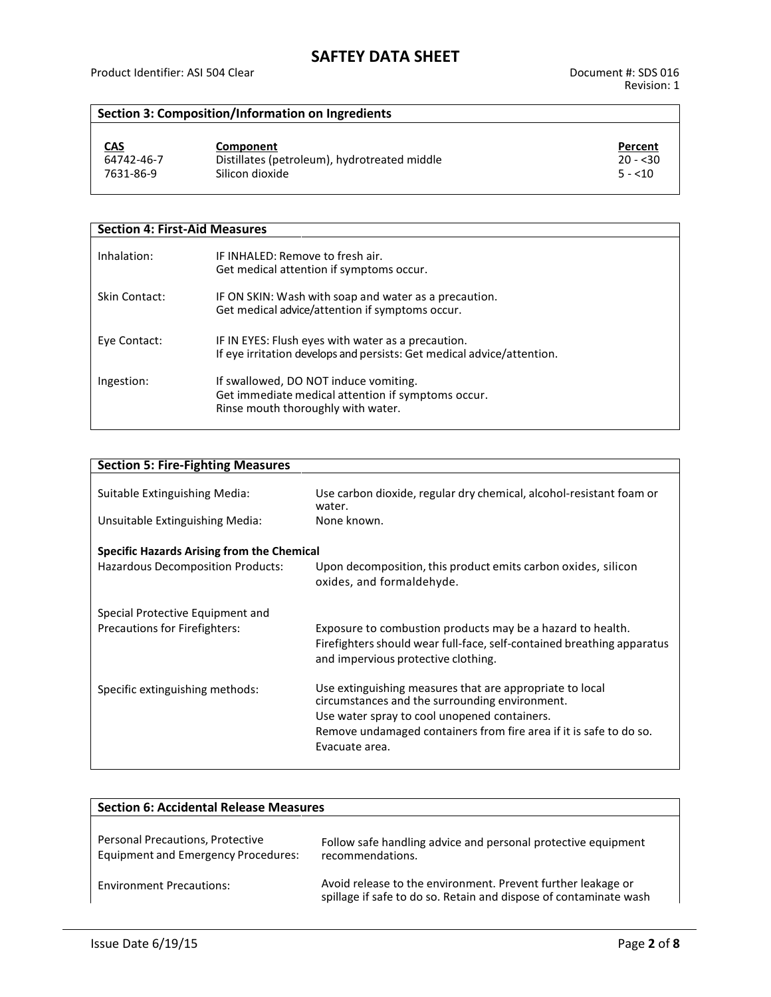#### **Section 3: Composition/Information on Ingredients**

| <u>CAS</u> | Component                                    | Percent   |
|------------|----------------------------------------------|-----------|
| 64742-46-7 | Distillates (petroleum), hydrotreated middle | $20 - 30$ |
| 7631-86-9  | Silicon dioxide                              | $5 - 10$  |

| <b>Section 4: First-Aid Measures</b> |                                                                                                                                   |  |
|--------------------------------------|-----------------------------------------------------------------------------------------------------------------------------------|--|
| Inhalation:                          | IF INHALED: Remove to fresh air.<br>Get medical attention if symptoms occur.                                                      |  |
| Skin Contact:                        | IF ON SKIN: Wash with soap and water as a precaution.<br>Get medical advice/attention if symptoms occur.                          |  |
| Eye Contact:                         | IF IN EYES: Flush eyes with water as a precaution.<br>If eye irritation develops and persists: Get medical advice/attention.      |  |
| Ingestion:                           | If swallowed, DO NOT induce vomiting.<br>Get immediate medical attention if symptoms occur.<br>Rinse mouth thoroughly with water. |  |

| <b>Section 5: Fire-Fighting Measures</b>          |                                                                                                                                                                             |  |
|---------------------------------------------------|-----------------------------------------------------------------------------------------------------------------------------------------------------------------------------|--|
| Suitable Extinguishing Media:                     | Use carbon dioxide, regular dry chemical, alcohol-resistant foam or                                                                                                         |  |
|                                                   | water.                                                                                                                                                                      |  |
| Unsuitable Extinguishing Media:                   | None known.                                                                                                                                                                 |  |
| <b>Specific Hazards Arising from the Chemical</b> |                                                                                                                                                                             |  |
| Hazardous Decomposition Products:                 | Upon decomposition, this product emits carbon oxides, silicon<br>oxides, and formaldehyde.                                                                                  |  |
| Special Protective Equipment and                  |                                                                                                                                                                             |  |
| Precautions for Firefighters:                     | Exposure to combustion products may be a hazard to health.<br>Firefighters should wear full-face, self-contained breathing apparatus<br>and impervious protective clothing. |  |
| Specific extinguishing methods:                   | Use extinguishing measures that are appropriate to local<br>circumstances and the surrounding environment.                                                                  |  |
|                                                   | Use water spray to cool unopened containers.                                                                                                                                |  |
|                                                   | Remove undamaged containers from fire area if it is safe to do so.<br>Evacuate area.                                                                                        |  |
|                                                   |                                                                                                                                                                             |  |

| <b>Section 6: Accidental Release Measures</b>                                  |                                                                                                                                   |  |
|--------------------------------------------------------------------------------|-----------------------------------------------------------------------------------------------------------------------------------|--|
| Personal Precautions, Protective<br><b>Equipment and Emergency Procedures:</b> | Follow safe handling advice and personal protective equipment<br>recommendations.                                                 |  |
| <b>Environment Precautions:</b>                                                | Avoid release to the environment. Prevent further leakage or<br>spillage if safe to do so. Retain and dispose of contaminate wash |  |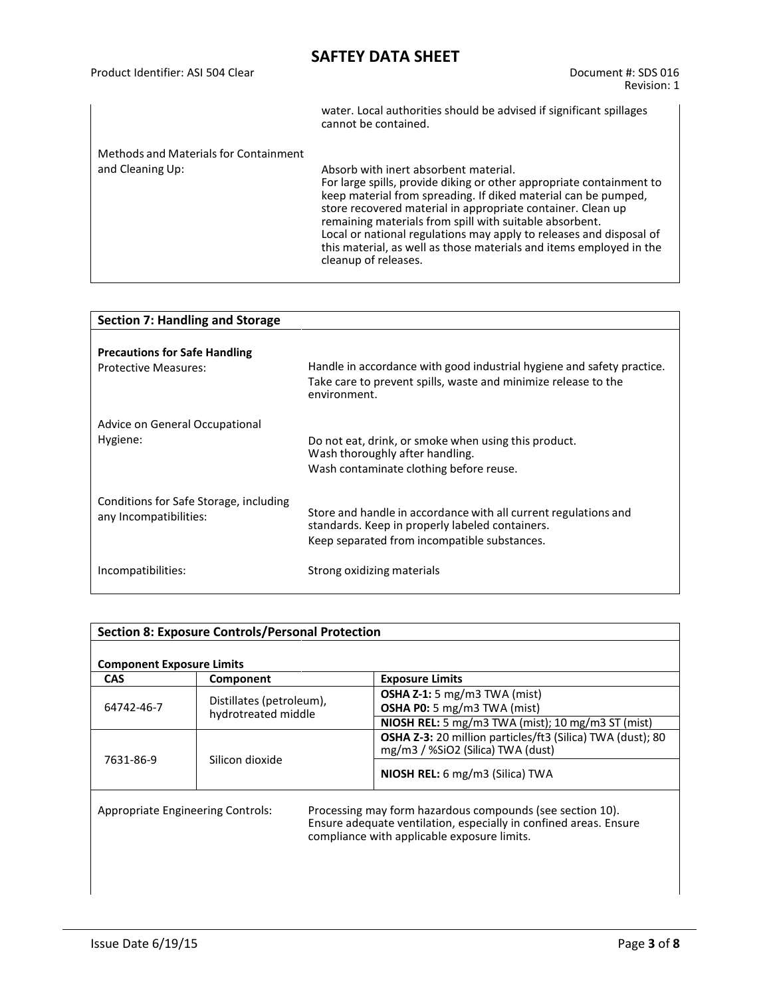|                                       | water. Local authorities should be advised if significant spillages<br>cannot be contained.                                                                                                                                                                                                                                                                                                                                                                                     |
|---------------------------------------|---------------------------------------------------------------------------------------------------------------------------------------------------------------------------------------------------------------------------------------------------------------------------------------------------------------------------------------------------------------------------------------------------------------------------------------------------------------------------------|
| Methods and Materials for Containment |                                                                                                                                                                                                                                                                                                                                                                                                                                                                                 |
| and Cleaning Up:                      | Absorb with inert absorbent material.<br>For large spills, provide diking or other appropriate containment to<br>keep material from spreading. If diked material can be pumped,<br>store recovered material in appropriate container. Clean up<br>remaining materials from spill with suitable absorbent.<br>Local or national regulations may apply to releases and disposal of<br>this material, as well as those materials and items employed in the<br>cleanup of releases. |

| <b>Section 7: Handling and Storage</b>                              |                                                                                                                                                                    |  |
|---------------------------------------------------------------------|--------------------------------------------------------------------------------------------------------------------------------------------------------------------|--|
| <b>Precautions for Safe Handling</b><br><b>Protective Measures:</b> | Handle in accordance with good industrial hygiene and safety practice.<br>Take care to prevent spills, waste and minimize release to the<br>environment.           |  |
| Advice on General Occupational<br>Hygiene:                          | Do not eat, drink, or smoke when using this product.<br>Wash thoroughly after handling.<br>Wash contaminate clothing before reuse.                                 |  |
| Conditions for Safe Storage, including<br>any Incompatibilities:    | Store and handle in accordance with all current regulations and<br>standards. Keep in properly labeled containers.<br>Keep separated from incompatible substances. |  |
| Incompatibilities:                                                  | Strong oxidizing materials                                                                                                                                         |  |

| <b>Section 8: Exposure Controls/Personal Protection</b>                                                                                                                                                            |                                                 |                                                                                                 |
|--------------------------------------------------------------------------------------------------------------------------------------------------------------------------------------------------------------------|-------------------------------------------------|-------------------------------------------------------------------------------------------------|
| <b>Component Exposure Limits</b>                                                                                                                                                                                   |                                                 |                                                                                                 |
| <b>CAS</b>                                                                                                                                                                                                         | Component                                       | <b>Exposure Limits</b>                                                                          |
| 64742-46-7                                                                                                                                                                                                         | Distillates (petroleum),<br>hydrotreated middle | <b>OSHA Z-1:</b> 5 mg/m3 TWA (mist)<br><b>OSHA P0:</b> 5 mg/m3 TWA (mist)                       |
|                                                                                                                                                                                                                    |                                                 | <b>NIOSH REL:</b> 5 mg/m3 TWA (mist); 10 mg/m3 ST (mist)                                        |
| 7631-86-9                                                                                                                                                                                                          |                                                 | OSHA Z-3: 20 million particles/ft3 (Silica) TWA (dust); 80<br>mg/m3 / %SiO2 (Silica) TWA (dust) |
|                                                                                                                                                                                                                    | Silicon dioxide                                 | NIOSH REL: 6 mg/m3 (Silica) TWA                                                                 |
| Processing may form hazardous compounds (see section 10).<br>Appropriate Engineering Controls:<br>Ensure adequate ventilation, especially in confined areas. Ensure<br>compliance with applicable exposure limits. |                                                 |                                                                                                 |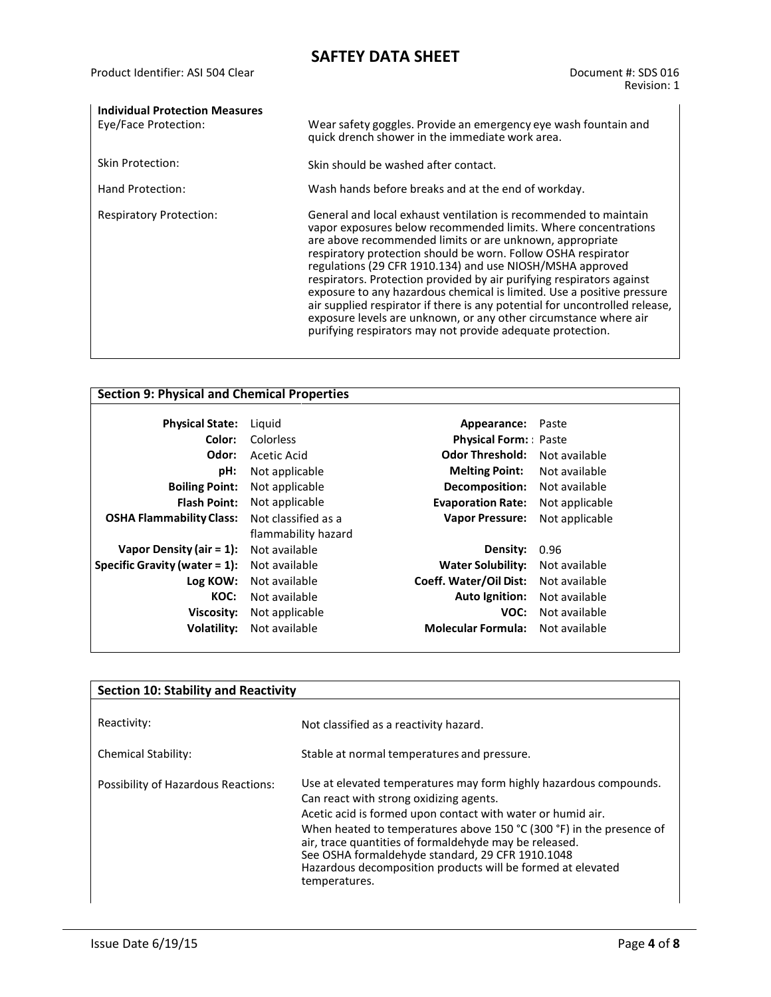| <b>Individual Protection Measures</b><br>Eye/Face Protection: | Wear safety goggles. Provide an emergency eye wash fountain and<br>quick drench shower in the immediate work area.                                                                                                                                                                                                                                                                                                                                                                                                                                                                                                                                                                               |
|---------------------------------------------------------------|--------------------------------------------------------------------------------------------------------------------------------------------------------------------------------------------------------------------------------------------------------------------------------------------------------------------------------------------------------------------------------------------------------------------------------------------------------------------------------------------------------------------------------------------------------------------------------------------------------------------------------------------------------------------------------------------------|
| Skin Protection:                                              | Skin should be washed after contact.                                                                                                                                                                                                                                                                                                                                                                                                                                                                                                                                                                                                                                                             |
| Hand Protection:                                              | Wash hands before breaks and at the end of workday.                                                                                                                                                                                                                                                                                                                                                                                                                                                                                                                                                                                                                                              |
| <b>Respiratory Protection:</b>                                | General and local exhaust ventilation is recommended to maintain<br>vapor exposures below recommended limits. Where concentrations<br>are above recommended limits or are unknown, appropriate<br>respiratory protection should be worn. Follow OSHA respirator<br>regulations (29 CFR 1910.134) and use NIOSH/MSHA approved<br>respirators. Protection provided by air purifying respirators against<br>exposure to any hazardous chemical is limited. Use a positive pressure<br>air supplied respirator if there is any potential for uncontrolled release,<br>exposure levels are unknown, or any other circumstance where air<br>purifying respirators may not provide adequate protection. |

| <b>Section 9: Physical and Chemical Properties</b> |                     |                             |                |
|----------------------------------------------------|---------------------|-----------------------------|----------------|
| <b>Physical State:</b>                             | Liguid              | Appearance:                 | Paste          |
| Color:                                             | Colorless           | <b>Physical Form:</b> Paste |                |
| Odor:                                              | Acetic Acid         | <b>Odor Threshold:</b>      | Not available  |
| pH:                                                | Not applicable      | <b>Melting Point:</b>       | Not available  |
| <b>Boiling Point:</b>                              | Not applicable      | Decomposition:              | Not available  |
| <b>Flash Point:</b>                                | Not applicable      | <b>Evaporation Rate:</b>    | Not applicable |
| <b>OSHA Flammability Class:</b>                    | Not classified as a | <b>Vapor Pressure:</b>      | Not applicable |
|                                                    | flammability hazard |                             |                |
| Vapor Density (air = $1$ ):                        | Not available       | Density:                    | 0.96           |
| Specific Gravity (water $= 1$ ):                   | Not available       | <b>Water Solubility:</b>    | Not available  |
| Log KOW:                                           | Not available       | Coeff. Water/Oil Dist:      | Not available  |
| KOC:                                               | Not available       | <b>Auto Ignition:</b>       | Not available  |
| Viscosity:                                         | Not applicable      | VOC:                        | Not available  |
| Volatility:                                        | Not available       | <b>Molecular Formula:</b>   | Not available  |
|                                                    |                     |                             |                |

| <b>Section 10: Stability and Reactivity</b> |                                                                                                                                                                                                                                                                                                                                                                                                                                                   |  |
|---------------------------------------------|---------------------------------------------------------------------------------------------------------------------------------------------------------------------------------------------------------------------------------------------------------------------------------------------------------------------------------------------------------------------------------------------------------------------------------------------------|--|
| Reactivity:                                 | Not classified as a reactivity hazard.                                                                                                                                                                                                                                                                                                                                                                                                            |  |
| <b>Chemical Stability:</b>                  | Stable at normal temperatures and pressure.                                                                                                                                                                                                                                                                                                                                                                                                       |  |
| Possibility of Hazardous Reactions:         | Use at elevated temperatures may form highly hazardous compounds.<br>Can react with strong oxidizing agents.<br>Acetic acid is formed upon contact with water or humid air.<br>When heated to temperatures above 150 °C (300 °F) in the presence of<br>air, trace quantities of formaldehyde may be released.<br>See OSHA formaldehyde standard, 29 CFR 1910.1048<br>Hazardous decomposition products will be formed at elevated<br>temperatures. |  |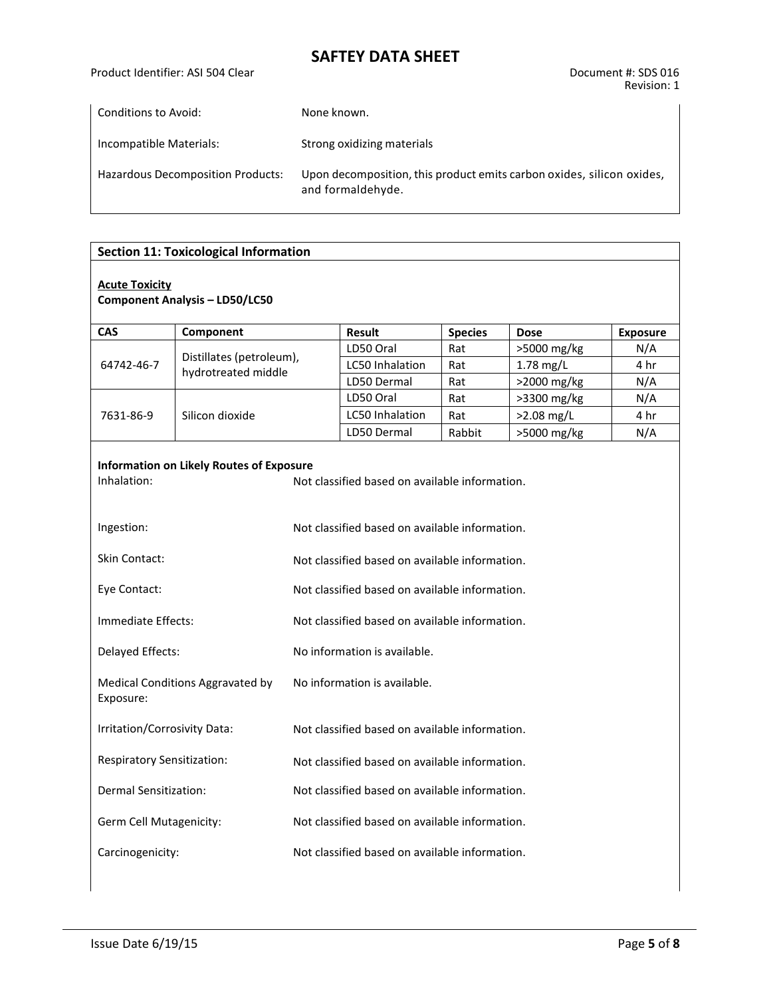Product Identifier: ASI 504 Clear Document #: SDS 016

| Conditions to Avoid:                     | None known.                                                                                |
|------------------------------------------|--------------------------------------------------------------------------------------------|
| Incompatible Materials:                  | Strong oxidizing materials                                                                 |
| <b>Hazardous Decomposition Products:</b> | Upon decomposition, this product emits carbon oxides, silicon oxides,<br>and formaldehyde. |

|                                               | <b>Section 11: Toxicological Information</b>    |                                                |                                                |                |              |                 |  |  |
|-----------------------------------------------|-------------------------------------------------|------------------------------------------------|------------------------------------------------|----------------|--------------|-----------------|--|--|
| <b>Acute Toxicity</b>                         | <b>Component Analysis - LD50/LC50</b>           |                                                |                                                |                |              |                 |  |  |
| <b>CAS</b>                                    | Component                                       |                                                | <b>Result</b>                                  | <b>Species</b> | <b>Dose</b>  | <b>Exposure</b> |  |  |
|                                               |                                                 |                                                | LD50 Oral                                      | Rat            | >5000 mg/kg  | N/A             |  |  |
| 64742-46-7                                    | Distillates (petroleum),<br>hydrotreated middle |                                                | LC50 Inhalation                                | Rat            | $1.78$ mg/L  | 4 hr            |  |  |
|                                               |                                                 |                                                | LD50 Dermal                                    | Rat            | >2000 mg/kg  | N/A             |  |  |
|                                               |                                                 |                                                | LD50 Oral                                      | Rat            | >3300 mg/kg  | N/A             |  |  |
| 7631-86-9                                     | Silicon dioxide                                 |                                                | <b>LC50 Inhalation</b>                         | Rat            | $>2.08$ mg/L | 4 hr            |  |  |
|                                               |                                                 |                                                | LD50 Dermal                                    | Rabbit         | >5000 mg/kg  | N/A             |  |  |
| Inhalation:                                   | <b>Information on Likely Routes of Exposure</b> | Not classified based on available information. |                                                |                |              |                 |  |  |
| Ingestion:                                    |                                                 | Not classified based on available information. |                                                |                |              |                 |  |  |
| <b>Skin Contact:</b>                          |                                                 | Not classified based on available information. |                                                |                |              |                 |  |  |
| Eye Contact:                                  |                                                 | Not classified based on available information. |                                                |                |              |                 |  |  |
| Immediate Effects:                            |                                                 | Not classified based on available information. |                                                |                |              |                 |  |  |
| Delayed Effects:                              |                                                 | No information is available.                   |                                                |                |              |                 |  |  |
| Medical Conditions Aggravated by<br>Exposure: |                                                 | No information is available.                   |                                                |                |              |                 |  |  |
| Irritation/Corrosivity Data:                  |                                                 | Not classified based on available information. |                                                |                |              |                 |  |  |
| <b>Respiratory Sensitization:</b>             |                                                 | Not classified based on available information. |                                                |                |              |                 |  |  |
| Dermal Sensitization:                         |                                                 |                                                | Not classified based on available information. |                |              |                 |  |  |
| Germ Cell Mutagenicity:                       |                                                 |                                                | Not classified based on available information. |                |              |                 |  |  |
| Carcinogenicity:                              |                                                 | Not classified based on available information. |                                                |                |              |                 |  |  |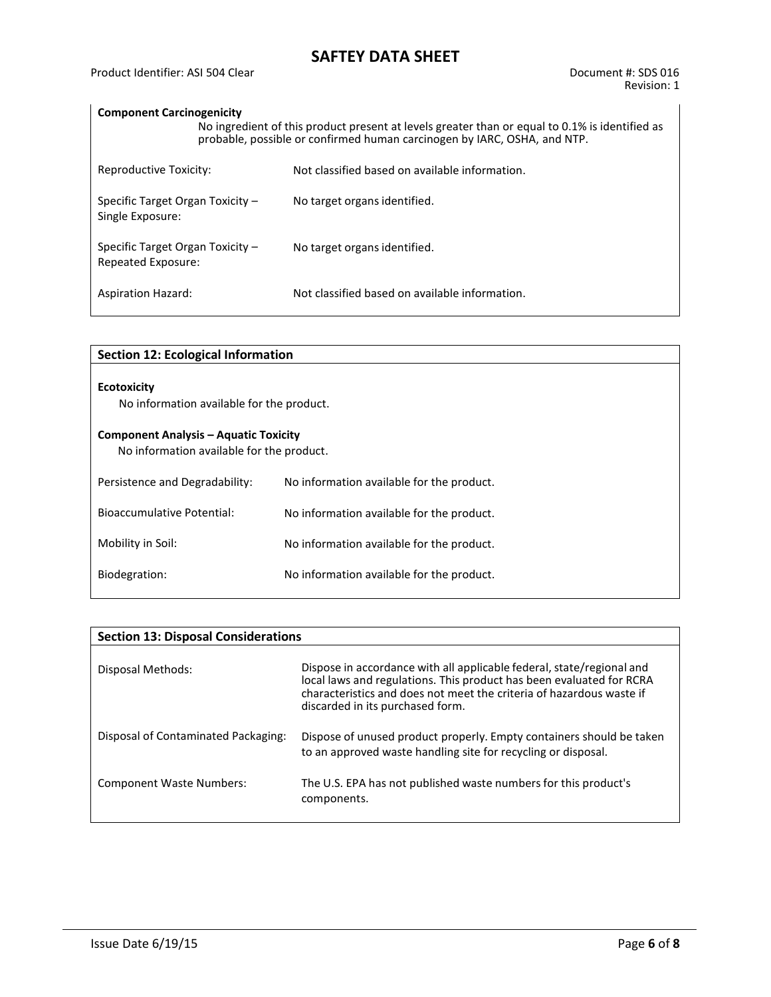#### **Component Carcinogenicity**

|                                                        | No ingredient of this product present at levels greater than or equal to 0.1% is identified as<br>probable, possible or confirmed human carcinogen by IARC, OSHA, and NTP. |                                                |  |  |  |  |  |
|--------------------------------------------------------|----------------------------------------------------------------------------------------------------------------------------------------------------------------------------|------------------------------------------------|--|--|--|--|--|
| Reproductive Toxicity:                                 |                                                                                                                                                                            | Not classified based on available information. |  |  |  |  |  |
| Specific Target Organ Toxicity $-$<br>Single Exposure: |                                                                                                                                                                            | No target organs identified.                   |  |  |  |  |  |
| Specific Target Organ Toxicity -<br>Repeated Exposure: |                                                                                                                                                                            | No target organs identified.                   |  |  |  |  |  |
| <b>Aspiration Hazard:</b>                              |                                                                                                                                                                            | Not classified based on available information. |  |  |  |  |  |

| <b>Section 12: Ecological Information</b>                                                 |                                           |  |  |  |  |
|-------------------------------------------------------------------------------------------|-------------------------------------------|--|--|--|--|
| <b>Ecotoxicity</b><br>No information available for the product.                           |                                           |  |  |  |  |
| <b>Component Analysis - Aquatic Toxicity</b><br>No information available for the product. |                                           |  |  |  |  |
| Persistence and Degradability:                                                            | No information available for the product. |  |  |  |  |
| Bioaccumulative Potential:                                                                | No information available for the product. |  |  |  |  |
| Mobility in Soil:                                                                         | No information available for the product. |  |  |  |  |
| Biodegration:                                                                             | No information available for the product. |  |  |  |  |
|                                                                                           |                                           |  |  |  |  |

| <b>Section 13: Disposal Considerations</b> |                                                                                                                                                                                                                                                           |  |  |  |  |  |
|--------------------------------------------|-----------------------------------------------------------------------------------------------------------------------------------------------------------------------------------------------------------------------------------------------------------|--|--|--|--|--|
| Disposal Methods:                          | Dispose in accordance with all applicable federal, state/regional and<br>local laws and regulations. This product has been evaluated for RCRA<br>characteristics and does not meet the criteria of hazardous waste if<br>discarded in its purchased form. |  |  |  |  |  |
| Disposal of Contaminated Packaging:        | Dispose of unused product properly. Empty containers should be taken<br>to an approved waste handling site for recycling or disposal.                                                                                                                     |  |  |  |  |  |
| <b>Component Waste Numbers:</b>            | The U.S. EPA has not published waste numbers for this product's<br>components.                                                                                                                                                                            |  |  |  |  |  |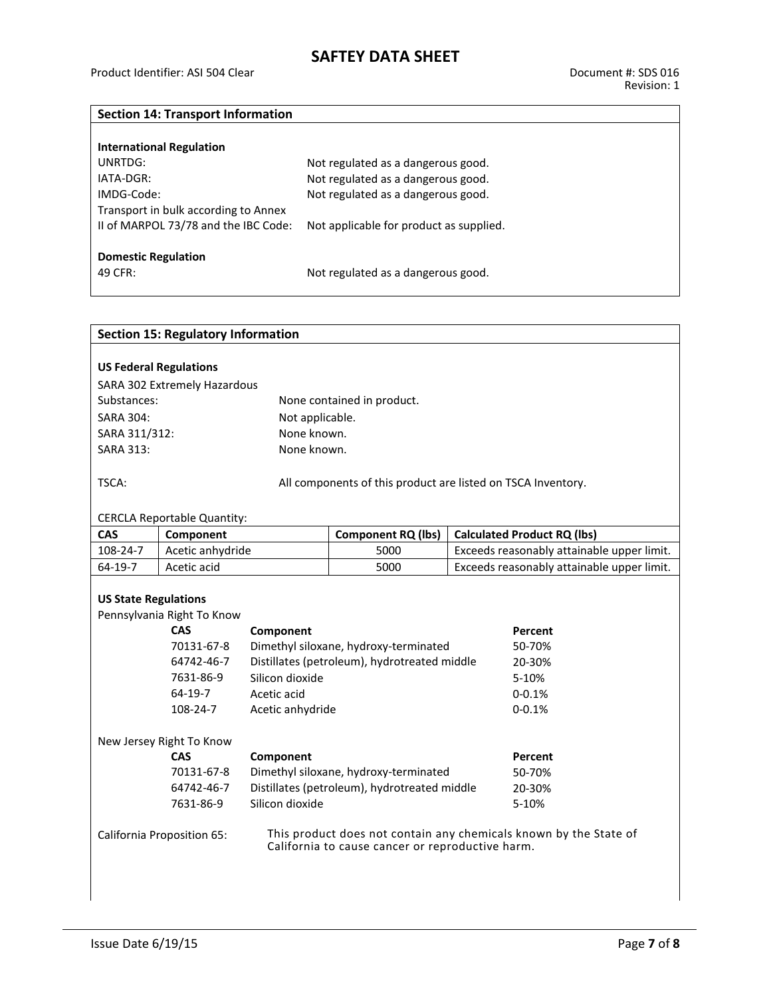#### **Section 14: Transport Information**

| <b>International Regulation</b>      |                                         |
|--------------------------------------|-----------------------------------------|
| UNRTDG:                              | Not regulated as a dangerous good.      |
| $IATA-DGR:$                          | Not regulated as a dangerous good.      |
| IMDG-Code:                           | Not regulated as a dangerous good.      |
| Transport in bulk according to Annex |                                         |
| II of MARPOL 73/78 and the IBC Code: | Not applicable for product as supplied. |
|                                      |                                         |
| <b>Domestic Regulation</b>           |                                         |
| 49 CFR:                              | Not regulated as a dangerous good.      |
|                                      |                                         |

| <b>Section 15: Regulatory Information</b>                                                                                                           |                                                                                            |                 |                                                              |                                            |                                            |  |  |
|-----------------------------------------------------------------------------------------------------------------------------------------------------|--------------------------------------------------------------------------------------------|-----------------|--------------------------------------------------------------|--------------------------------------------|--------------------------------------------|--|--|
|                                                                                                                                                     |                                                                                            |                 |                                                              |                                            |                                            |  |  |
| <b>US Federal Regulations</b>                                                                                                                       |                                                                                            |                 |                                                              |                                            |                                            |  |  |
| SARA 302 Extremely Hazardous                                                                                                                        |                                                                                            |                 |                                                              |                                            |                                            |  |  |
| Substances:                                                                                                                                         |                                                                                            |                 | None contained in product.                                   |                                            |                                            |  |  |
| <b>SARA 304:</b>                                                                                                                                    |                                                                                            | Not applicable. |                                                              |                                            |                                            |  |  |
| SARA 311/312:                                                                                                                                       |                                                                                            | None known.     |                                                              |                                            |                                            |  |  |
| <b>SARA 313:</b>                                                                                                                                    |                                                                                            | None known.     |                                                              |                                            |                                            |  |  |
|                                                                                                                                                     |                                                                                            |                 |                                                              |                                            |                                            |  |  |
| TSCA:                                                                                                                                               |                                                                                            |                 | All components of this product are listed on TSCA Inventory. |                                            |                                            |  |  |
|                                                                                                                                                     |                                                                                            |                 |                                                              |                                            |                                            |  |  |
|                                                                                                                                                     | <b>CERCLA Reportable Quantity:</b>                                                         |                 |                                                              |                                            |                                            |  |  |
| <b>CAS</b>                                                                                                                                          | Component                                                                                  |                 | <b>Component RQ (lbs)</b>                                    |                                            | <b>Calculated Product RQ (lbs)</b>         |  |  |
| 108-24-7                                                                                                                                            | Acetic anhydride                                                                           |                 | 5000                                                         | Exceeds reasonably attainable upper limit. |                                            |  |  |
| 64-19-7                                                                                                                                             | Acetic acid                                                                                |                 | 5000                                                         |                                            | Exceeds reasonably attainable upper limit. |  |  |
|                                                                                                                                                     |                                                                                            |                 |                                                              |                                            |                                            |  |  |
| <b>US State Regulations</b>                                                                                                                         |                                                                                            |                 |                                                              |                                            |                                            |  |  |
|                                                                                                                                                     | Pennsylvania Right To Know<br>CAS                                                          | Component       |                                                              |                                            | Percent                                    |  |  |
|                                                                                                                                                     | 70131-67-8                                                                                 |                 | Dimethyl siloxane, hydroxy-terminated                        |                                            | 50-70%                                     |  |  |
|                                                                                                                                                     |                                                                                            |                 |                                                              |                                            | 20-30%                                     |  |  |
|                                                                                                                                                     | Distillates (petroleum), hydrotreated middle<br>64742-46-7<br>7631-86-9<br>Silicon dioxide |                 |                                                              |                                            | 5-10%                                      |  |  |
|                                                                                                                                                     | 64-19-7                                                                                    | Acetic acid     |                                                              | $0 - 0.1%$                                 |                                            |  |  |
|                                                                                                                                                     | 108-24-7                                                                                   |                 |                                                              |                                            | $0 - 0.1%$                                 |  |  |
| Acetic anhydride                                                                                                                                    |                                                                                            |                 |                                                              |                                            |                                            |  |  |
|                                                                                                                                                     | New Jersey Right To Know                                                                   |                 |                                                              |                                            |                                            |  |  |
|                                                                                                                                                     | <b>CAS</b>                                                                                 | Component       |                                                              |                                            | Percent                                    |  |  |
|                                                                                                                                                     | 70131-67-8<br>Dimethyl siloxane, hydroxy-terminated                                        |                 |                                                              |                                            | 50-70%                                     |  |  |
|                                                                                                                                                     | Distillates (petroleum), hydrotreated middle<br>64742-46-7<br>20-30%                       |                 |                                                              |                                            |                                            |  |  |
| Silicon dioxide<br>7631-86-9                                                                                                                        |                                                                                            |                 |                                                              |                                            | 5-10%                                      |  |  |
| This product does not contain any chemicals known by the State of<br>California Proposition 65:<br>California to cause cancer or reproductive harm. |                                                                                            |                 |                                                              |                                            |                                            |  |  |